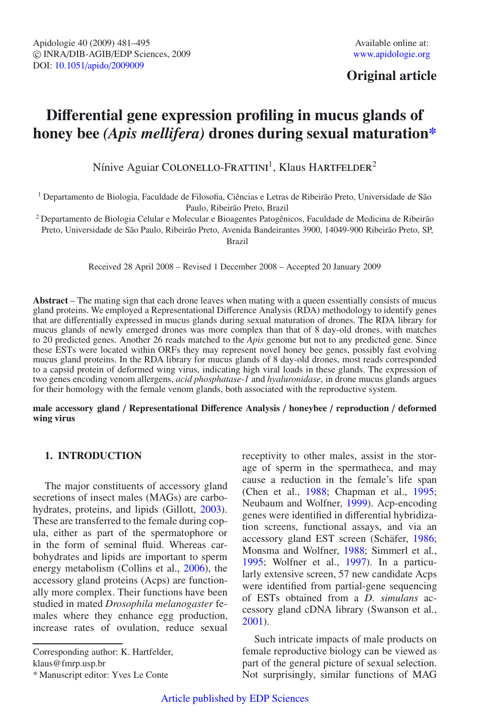## **Original article**

# **Di**ff**erential gene expression profiling in mucus glands of honey bee** *(Apis mellifera)* **drones during sexual maturation\***

Nínive Aguiar COLONELLO-FRATTINI<sup>1</sup>, Klaus HARTFELDER<sup>2</sup>

<sup>1</sup> Departamento de Biologia, Faculdade de Filosofia, Ciências e Letras de Ribeirão Preto, Universidade de São Paulo, Ribeirão Preto, Brazil

<sup>2</sup> Departamento de Biologia Celular e Molecular e Bioagentes Patogênicos, Faculdade de Medicina de Ribeirão Preto, Universidade de São Paulo, Ribeirão Preto, Avenida Bandeirantes 3900, 14049-900 Ribeirão Preto, SP, Brazil

Received 28 April 2008 – Revised 1 December 2008 – Accepted 20 January 2009

**Abstract** – The mating sign that each drone leaves when mating with a queen essentially consists of mucus gland proteins. We employed a Representational Difference Analysis (RDA) methodology to identify genes that are differentially expressed in mucus glands during sexual maturation of drones. The RDA library for mucus glands of newly emerged drones was more complex than that of 8 day-old drones, with matches to 20 predicted genes. Another 26 reads matched to the *Apis* genome but not to any predicted gene. Since these ESTs were located within ORFs they may represent novel honey bee genes, possibly fast evolving mucus gland proteins. In the RDA library for mucus glands of 8 day-old drones, most reads corresponded to a capsid protein of deformed wing virus, indicating high viral loads in these glands. The expression of two genes encoding venom allergens, *acid phosphatase-1* and *hyaluronidase*, in drone mucus glands argues for their homology with the female venom glands, both associated with the reproductive system.

#### **male accessory gland** / **Representational Di**ff**erence Analysis** / **honeybee** / **reproduction** / **deformed wing virus**

## **1. INTRODUCTION**

The major constituents of accessory gland secretions of insect males (MAGs) are carbohydrates, proteins, and lipids (Gillott, [2003\)](#page-13-0). These are transferred to the female during copula, either as part of the spermatophore or in the form of seminal fluid. Whereas carbohydrates and lipids are important to sperm energy metabolism (Collins et al., [2006\)](#page-12-0), the accessory gland proteins (Acps) are functionally more complex. Their functions have been studied in mated *Drosophila melanogaster* females where they enhance egg production, increase rates of ovulation, reduce sexual

Corresponding author: K. Hartfelder, klaus@fmrp.usp.br

\* Manuscript editor: Yves Le Conte

receptivity to other males, assist in the storage of sperm in the spermatheca, and may cause a reduction in the female's life span (Chen et al., [1988;](#page-12-1) Chapman et al., [1995](#page-12-2); Neubaum and Wolfner, [1999](#page-13-1)). Acp-encoding genes were identified in differential hybridization screens, functional assays, and via an accessory gland EST screen (Schäfer, [1986](#page-14-0); Monsma and Wolfner, [1988;](#page-13-2) Simmerl et al., [1995;](#page-14-1) Wolfner et al., [1997](#page-14-2)). In a particularly extensive screen, 57 new candidate Acps were identified from partial-gene sequencing of ESTs obtained from a *D. simulans* accessory gland cDNA library (Swanson et al., [2001\)](#page-14-3).

Such intricate impacts of male products on female reproductive biology can be viewed as part of the general picture of sexual selection. Not surprisingly, similar functions of MAG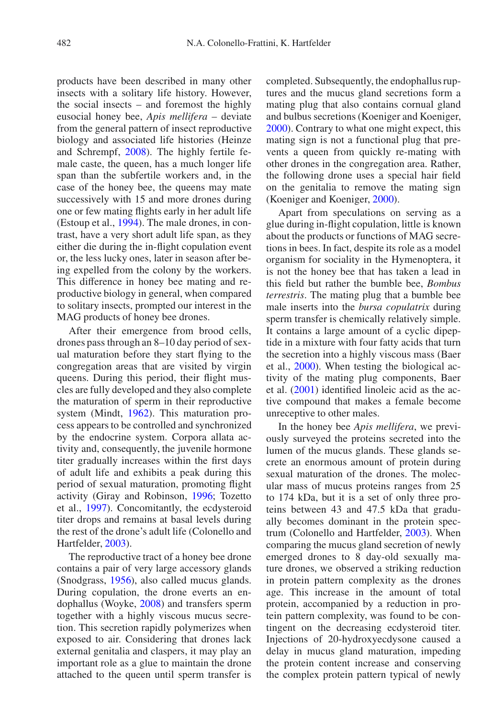products have been described in many other insects with a solitary life history. However, the social insects – and foremost the highly eusocial honey bee, *Apis mellifera* – deviate from the general pattern of insect reproductive biology and associated life histories (Heinze and Schrempf, [2008\)](#page-13-3). The highly fertile female caste, the queen, has a much longer life span than the subfertile workers and, in the case of the honey bee, the queens may mate successively with 15 and more drones during one or few mating flights early in her adult life (Estoup et al., [1994](#page-13-4)). The male drones, in contrast, have a very short adult life span, as they either die during the in-flight copulation event or, the less lucky ones, later in season after being expelled from the colony by the workers. This difference in honey bee mating and reproductive biology in general, when compared to solitary insects, prompted our interest in the MAG products of honey bee drones.

After their emergence from brood cells, drones pass through an 8–10 day period of sexual maturation before they start flying to the congregation areas that are visited by virgin queens. During this period, their flight muscles are fully developed and they also complete the maturation of sperm in their reproductive system (Mindt, [1962\)](#page-13-5). This maturation process appears to be controlled and synchronized by the endocrine system. Corpora allata activity and, consequently, the juvenile hormone titer gradually increases within the first days of adult life and exhibits a peak during this period of sexual maturation, promoting flight activity (Giray and Robinson, [1996;](#page-13-6) Tozetto et al., [1997](#page-14-4)). Concomitantly, the ecdysteroid titer drops and remains at basal levels during the rest of the drone's adult life (Colonello and Hartfelder, [2003\)](#page-12-3).

The reproductive tract of a honey bee drone contains a pair of very large accessory glands (Snodgrass, [1956](#page-14-5)), also called mucus glands. During copulation, the drone everts an endophallus (Woyke, [2008\)](#page-14-6) and transfers sperm together with a highly viscous mucus secretion. This secretion rapidly polymerizes when exposed to air. Considering that drones lack external genitalia and claspers, it may play an important role as a glue to maintain the drone attached to the queen until sperm transfer is

completed. Subsequently, the endophallus ruptures and the mucus gland secretions form a mating plug that also contains cornual gland and bulbus secretions (Koeniger and Koeniger, [2000](#page-13-7)). Contrary to what one might expect, this mating sign is not a functional plug that prevents a queen from quickly re-mating with other drones in the congregation area. Rather, the following drone uses a special hair field on the genitalia to remove the mating sign (Koeniger and Koeniger, [2000\)](#page-13-7).

Apart from speculations on serving as a glue during in-flight copulation, little is known about the products or functions of MAG secretions in bees. In fact, despite its role as a model organism for sociality in the Hymenoptera, it is not the honey bee that has taken a lead in this field but rather the bumble bee, *Bombus terrestris*. The mating plug that a bumble bee male inserts into the *bursa copulatrix* during sperm transfer is chemically relatively simple. It contains a large amount of a cyclic dipeptide in a mixture with four fatty acids that turn the secretion into a highly viscous mass (Baer et al., [2000\)](#page-12-4). When testing the biological activity of the mating plug components, Baer et al. [\(2001\)](#page-12-5) identified linoleic acid as the active compound that makes a female become unreceptive to other males.

In the honey bee *Apis mellifera*, we previously surveyed the proteins secreted into the lumen of the mucus glands. These glands secrete an enormous amount of protein during sexual maturation of the drones. The molecular mass of mucus proteins ranges from 25 to 174 kDa, but it is a set of only three proteins between 43 and 47.5 kDa that gradually becomes dominant in the protein spectrum (Colonello and Hartfelder, [2003\)](#page-12-3). When comparing the mucus gland secretion of newly emerged drones to 8 day-old sexually mature drones, we observed a striking reduction in protein pattern complexity as the drones age. This increase in the amount of total protein, accompanied by a reduction in protein pattern complexity, was found to be contingent on the decreasing ecdysteroid titer. Injections of 20-hydroxyecdysone caused a delay in mucus gland maturation, impeding the protein content increase and conserving the complex protein pattern typical of newly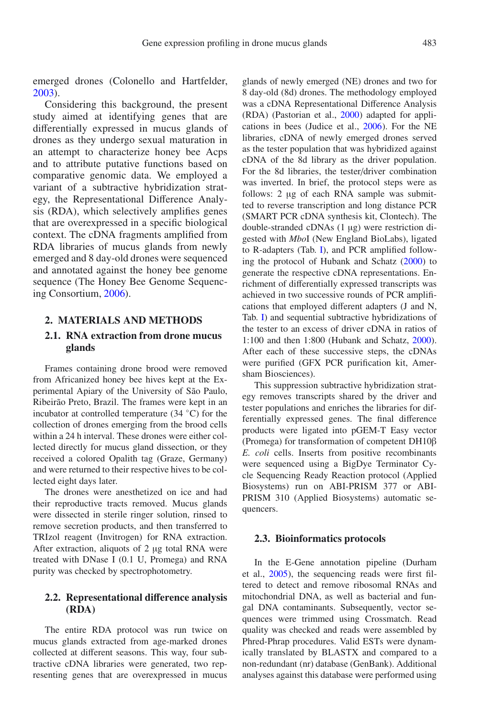emerged drones (Colonello and Hartfelder, [2003](#page-12-3)).

Considering this background, the present study aimed at identifying genes that are differentially expressed in mucus glands of drones as they undergo sexual maturation in an attempt to characterize honey bee Acps and to attribute putative functions based on comparative genomic data. We employed a variant of a subtractive hybridization strategy, the Representational Difference Analysis (RDA), which selectively amplifies genes that are overexpressed in a specific biological context. The cDNA fragments amplified from RDA libraries of mucus glands from newly emerged and 8 day-old drones were sequenced and annotated against the honey bee genome sequence (The Honey Bee Genome Sequencing Consortium, [2006\)](#page-14-7).

#### **2. MATERIALS AND METHODS**

## **2.1. RNA extraction from drone mucus glands**

Frames containing drone brood were removed from Africanized honey bee hives kept at the Experimental Apiary of the University of São Paulo, Ribeirão Preto, Brazil. The frames were kept in an incubator at controlled temperature (34 ◦C) for the collection of drones emerging from the brood cells within a 24 h interval. These drones were either collected directly for mucus gland dissection, or they received a colored Opalith tag (Graze, Germany) and were returned to their respective hives to be collected eight days later.

The drones were anesthetized on ice and had their reproductive tracts removed. Mucus glands were dissected in sterile ringer solution, rinsed to remove secretion products, and then transferred to TRIzol reagent (Invitrogen) for RNA extraction. After extraction, aliquots of 2 μg total RNA were treated with DNase I (0.1 U, Promega) and RNA purity was checked by spectrophotometry.

#### **2.2. Representational di**ff**erence analysis (RDA)**

The entire RDA protocol was run twice on mucus glands extracted from age-marked drones collected at different seasons. This way, four subtractive cDNA libraries were generated, two representing genes that are overexpressed in mucus glands of newly emerged (NE) drones and two for 8 day-old (8d) drones. The methodology employed was a cDNA Representational Difference Analysis (RDA) (Pastorian et al., [2000](#page-14-8)) adapted for applications in bees (Judice et al., [2006](#page-13-8)). For the NE libraries, cDNA of newly emerged drones served as the tester population that was hybridized against cDNA of the 8d library as the driver population. For the 8d libraries, the tester/driver combination was inverted. In brief, the protocol steps were as follows: 2 μg of each RNA sample was submitted to reverse transcription and long distance PCR (SMART PCR cDNA synthesis kit, Clontech). The double-stranded cDNAs (1 μg) were restriction digested with *Mbo*I (New England BioLabs), ligated to R-adapters (Tab. [I\)](#page-3-0), and PCR amplified following the protocol of Hubank and Schatz [\(2000](#page-13-9)) to generate the respective cDNA representations. Enrichment of differentially expressed transcripts was achieved in two successive rounds of PCR amplifications that employed different adapters (J and N, Tab. [I\)](#page-3-0) and sequential subtractive hybridizations of the tester to an excess of driver cDNA in ratios of 1:100 and then 1:800 (Hubank and Schatz, [2000](#page-13-9)). After each of these successive steps, the cDNAs were purified (GFX PCR purification kit, Amersham Biosciences).

This suppression subtractive hybridization strategy removes transcripts shared by the driver and tester populations and enriches the libraries for differentially expressed genes. The final difference products were ligated into pGEM-T Easy vector (Promega) for transformation of competent DH10β *E. coli* cells. Inserts from positive recombinants were sequenced using a BigDye Terminator Cycle Sequencing Ready Reaction protocol (Applied Biosystems) run on ABI-PRISM 377 or ABI-PRISM 310 (Applied Biosystems) automatic sequencers.

#### **2.3. Bioinformatics protocols**

In the E-Gene annotation pipeline (Durham et al., [2005\)](#page-13-10), the sequencing reads were first filtered to detect and remove ribosomal RNAs and mitochondrial DNA, as well as bacterial and fungal DNA contaminants. Subsequently, vector sequences were trimmed using Crossmatch. Read quality was checked and reads were assembled by Phred-Phrap procedures. Valid ESTs were dynamically translated by BLASTX and compared to a non-redundant (nr) database (GenBank). Additional analyses against this database were performed using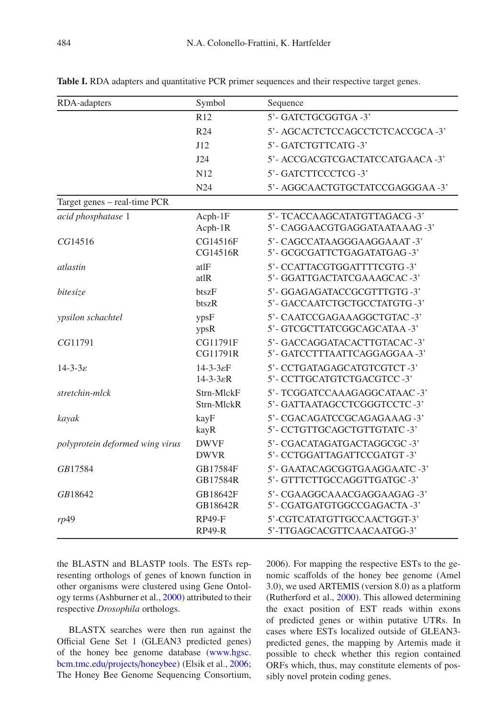| RDA-adapters                                                  | Symbol                                                   | Sequence                                                      |  |  |
|---------------------------------------------------------------|----------------------------------------------------------|---------------------------------------------------------------|--|--|
|                                                               | R <sub>12</sub>                                          | 5'- GATCTGCGGTGA-3'                                           |  |  |
|                                                               | R <sub>24</sub>                                          | 5'- AGCACTCTCCAGCCTCTCACCGCA-3'                               |  |  |
|                                                               | J12                                                      | 5'- GATCTGTTCATG-3'                                           |  |  |
|                                                               | J24                                                      | 5'- ACCGACGTCGACTATCCATGAACA -3'                              |  |  |
|                                                               | N12                                                      | 5'- GATCTTCCCTCG-3'                                           |  |  |
|                                                               | N24                                                      | 5'- AGGCAACTGTGCTATCCGAGGGAA -3'                              |  |  |
| Target genes - real-time PCR                                  |                                                          |                                                               |  |  |
| acid phosphatase 1<br>$Acph-1F$<br>Acph-1R                    |                                                          | 5'- TCACCAAGCATATGTTAGACG-3'<br>5'- CAGGAACGTGAGGATAATAAAG-3' |  |  |
| CG14516F<br>CG14516<br>CG14516R                               |                                                          | 5'- CAGCCATAAGGGAAGGAAAT -3'<br>5'- GCGCGATTCTGAGATATGAG-3'   |  |  |
| atlF<br>atlastin<br>atlR                                      |                                                          | 5'- CCATTACGTGGATTTTCGTG-3'<br>5'- GGATTGACTATCGAAAGCAC-3'    |  |  |
| bitesize                                                      | btszF<br>btszR                                           | 5'- GGAGAGATACCGCGTTTGTG-3'<br>5'- GACCAATCTGCTGCCTATGTG-3'   |  |  |
| ypsF<br><i>spsilon schachtel</i><br>ypsR                      |                                                          | 5'- CAATCCGAGAAAGGCTGTAC-3'<br>5'- GTCGCTTATCGGCAGCATAA -3'   |  |  |
| CG11791                                                       | CG11791F<br>CG11791R                                     | 5'- GACCAGGATACACTTGTACAC-3'<br>5'- GATCCTTTAATTCAGGAGGAA -3' |  |  |
| $14 - 3 - 3\varepsilon$                                       | $14 - 3 - 3 \varepsilon F$<br>$14 - 3 - 3 \varepsilon R$ | 5'- CCTGATAGAGCATGTCGTCT-3'<br>5'- CCTTGCATGTCTGACGTCC-3'     |  |  |
| stretchin-mlck                                                | Strn-MlckF<br>Strn-MlckR                                 | 5'- TCGGATCCAAAGAGGCATAAC -3'<br>5'- GATTAATAGCCTCGGGTCCTC-3' |  |  |
| kayF<br>kayak<br>kayR                                         |                                                          | 5'- CGACAGATCCGCAGAGAAAG-3'<br>5'- CCTGTTGCAGCTGTTGTATC-3'    |  |  |
| <b>DWVF</b><br>polyprotein deformed wing virus<br><b>DWVR</b> |                                                          | 5'- CGACATAGATGACTAGGCGC-3'<br>5'- CCTGGATTAGATTCCGATGT-3'    |  |  |
| GB17584                                                       | GB17584F<br>GB17584R                                     | 5'- GAATACAGCGGTGAAGGAATC -3'<br>5'- GTTTCTTGCCAGGTTGATGC-3'  |  |  |
| GB18642                                                       | GB18642F<br>GB18642R                                     | 5'- CGAAGGCAAACGAGGAAGAG -3'<br>5'- CGATGATGTGGCCGAGACTA -3'  |  |  |
| rp49                                                          | <b>RP49-F</b><br><b>RP49-R</b>                           | 5'-CGTCATATGTTGCCAACTGGT-3'<br>5'-TTGAGCACGTTCAACAATGG-3'     |  |  |

<span id="page-3-0"></span>**Table I.** RDA adapters and quantitative PCR primer sequences and their respective target genes.

the BLASTN and BLASTP tools. The ESTs representing orthologs of genes of known function in other organisms were clustered using Gene Ontology terms (Ashburner et al., [2000](#page-12-6)) attributed to their respective *Drosophila* orthologs.

BLASTX searches were then run against the Official Gene Set 1 (GLEAN3 predicted genes) of the honey bee genome database [\(www.hgsc.](www.hgsc.bcm.tmc.edu/projects/honeybee) [bcm.tmc.edu](www.hgsc.bcm.tmc.edu/projects/honeybee)/projects/honeybee) (Elsik et al., [2006](#page-13-11); The Honey Bee Genome Sequencing Consortium, 2006). For mapping the respective ESTs to the genomic scaffolds of the honey bee genome (Amel 3.0), we used ARTEMIS (version 8.0) as a platform (Rutherford et al., [2000\)](#page-14-9). This allowed determining the exact position of EST reads within exons of predicted genes or within putative UTRs. In cases where ESTs localized outside of GLEAN3 predicted genes, the mapping by Artemis made it possible to check whether this region contained ORFs which, thus, may constitute elements of possibly novel protein coding genes.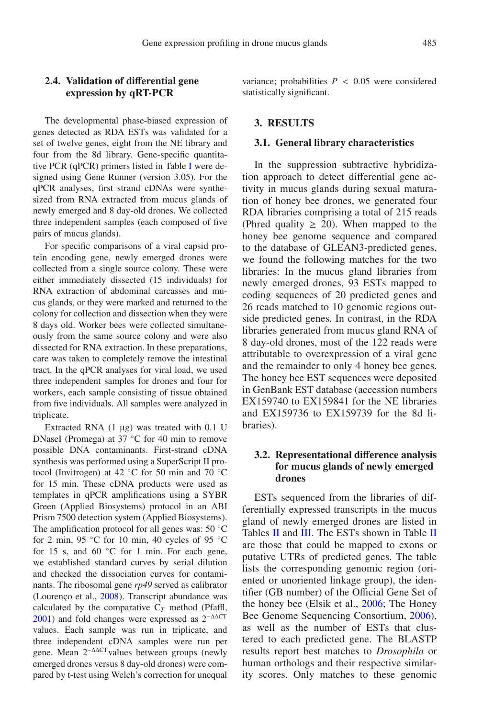The developmental phase-biased expression of genes detected as RDA ESTs was validated for a set of twelve genes, eight from the NE library and four from the 8d library. Gene-specific quantitative PCR (qPCR) primers listed in Table [I](#page-3-0) were designed using Gene Runner (version 3.05). For the qPCR analyses, first strand cDNAs were synthesized from RNA extracted from mucus glands of newly emerged and 8 day-old drones. We collected three independent samples (each composed of five pairs of mucus glands).

For specific comparisons of a viral capsid protein encoding gene, newly emerged drones were collected from a single source colony. These were either immediately dissected (15 individuals) for RNA extraction of abdominal carcasses and mucus glands, or they were marked and returned to the colony for collection and dissection when they were 8 days old. Worker bees were collected simultaneously from the same source colony and were also dissected for RNA extraction. In these preparations, care was taken to completely remove the intestinal tract. In the qPCR analyses for viral load, we used three independent samples for drones and four for workers, each sample consisting of tissue obtained from five individuals. All samples were analyzed in triplicate.

Extracted RNA (1 μg) was treated with 0.1 U DNaseI (Promega) at 37 ◦C for 40 min to remove possible DNA contaminants. First-strand cDNA synthesis was performed using a SuperScript II protocol (Invitrogen) at 42  $°C$  for 50 min and 70  $°C$ for 15 min. These cDNA products were used as templates in qPCR amplifications using a SYBR Green (Applied Biosystems) protocol in an ABI Prism 7500 detection system (Applied Biosystems). The amplification protocol for all genes was: 50 ◦C for 2 min, 95 °C for 10 min, 40 cycles of 95 °C for 15 s, and 60  $°C$  for 1 min. For each gene, we established standard curves by serial dilution and checked the dissociation curves for contaminants. The ribosomal gene *rp49* served as calibrator (Lourenço et al., [2008\)](#page-13-12). Transcript abundance was calculated by the comparative  $C_T$  method (Pfaffl, [2001](#page-14-10)) and fold changes were expressed as  $2^{-\Delta\Delta CT}$ values. Each sample was run in triplicate, and three independent cDNA samples were run per gene. Mean 2<sup>-ΔΔCT</sup> values between groups (newly emerged drones versus 8 day-old drones) were compared by t-test using Welch's correction for unequal variance; probabilities  $P < 0.05$  were considered statistically significant.

## **3. RESULTS**

#### **3.1. General library characteristics**

In the suppression subtractive hybridization approach to detect differential gene activity in mucus glands during sexual maturation of honey bee drones, we generated four RDA libraries comprising a total of 215 reads (Phred quality  $\geq$  20). When mapped to the honey bee genome sequence and compared to the database of GLEAN3-predicted genes, we found the following matches for the two libraries: In the mucus gland libraries from newly emerged drones, 93 ESTs mapped to coding sequences of 20 predicted genes and 26 reads matched to 10 genomic regions outside predicted genes. In contrast, in the RDA libraries generated from mucus gland RNA of 8 day-old drones, most of the 122 reads were attributable to overexpression of a viral gene and the remainder to only 4 honey bee genes. The honey bee EST sequences were deposited in GenBank EST database (accession numbers EX159740 to EX159841 for the NE libraries and EX159736 to EX159739 for the 8d libraries).

## **3.2. Representational di**ff**erence analysis for mucus glands of newly emerged drones**

ESTs sequenced from the libraries of differentially expressed transcripts in the mucus gland of newly emerged drones are listed in Tables [II](#page-5-0) and [III.](#page-6-0) The ESTs shown in Table II are those that could be mapped to exons or putative UTRs of predicted genes. The table lists the corresponding genomic region (oriented or unoriented linkage group), the identifier (GB number) of the Official Gene Set of the honey bee (Elsik et al., [2006;](#page-13-11) The Honey Bee Genome Sequencing Consortium, [2006\)](#page-14-7), as well as the number of ESTs that clustered to each predicted gene. The BLASTP results report best matches to *Drosophila* or human orthologs and their respective similarity scores. Only matches to these genomic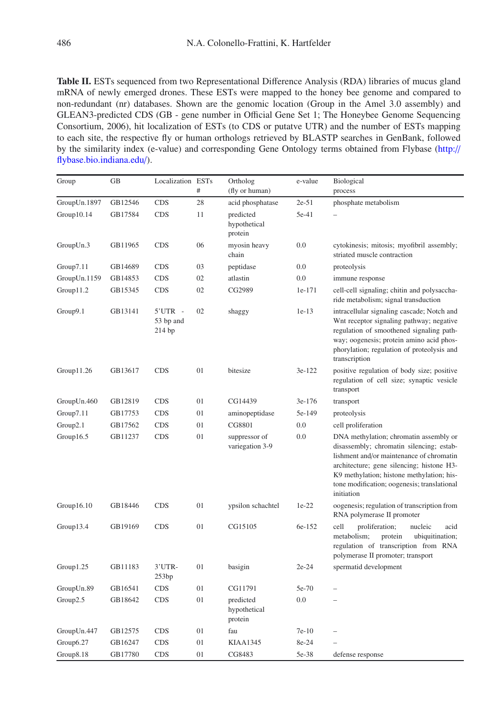<span id="page-5-0"></span>**Table II.** ESTs sequenced from two Representational Difference Analysis (RDA) libraries of mucus gland mRNA of newly emerged drones. These ESTs were mapped to the honey bee genome and compared to non-redundant (nr) databases. Shown are the genomic location (Group in the Amel 3.0 assembly) and GLEAN3-predicted CDS (GB - gene number in Official Gene Set 1; The Honeybee Genome Sequencing Consortium, 2006), hit localization of ESTs (to CDS or putatve UTR) and the number of ESTs mapping to each site, the respective fly or human orthologs retrieved by BLASTP searches in GenBank, followed by the similarity index (e-value) and corresponding Gene Ontology terms obtained from Flybase [\(http:](http://flybase.bio.indiana.edu/)// [flybase.bio.indiana.edu](http://flybase.bio.indiana.edu/)/).

| Group        | GB      | Localization ESTs                |    | Ortholog                             | e-value | Biological                                                                                                                                                                                                                                                                            |  |
|--------------|---------|----------------------------------|----|--------------------------------------|---------|---------------------------------------------------------------------------------------------------------------------------------------------------------------------------------------------------------------------------------------------------------------------------------------|--|
|              |         |                                  | #  | (fly or human)                       |         | process                                                                                                                                                                                                                                                                               |  |
| GroupUn.1897 | GB12546 | <b>CDS</b>                       | 28 | acid phosphatase                     | $2e-51$ | phosphate metabolism                                                                                                                                                                                                                                                                  |  |
| Group10.14   | GB17584 | <b>CDS</b>                       | 11 | predicted<br>hypothetical<br>protein | 5e-41   |                                                                                                                                                                                                                                                                                       |  |
| GroupUn.3    | GB11965 | <b>CDS</b>                       | 06 | myosin heavy<br>chain                | 0.0     | cytokinesis; mitosis; myofibril assembly;<br>striated muscle contraction                                                                                                                                                                                                              |  |
| Group7.11    | GB14689 | <b>CDS</b>                       | 03 | peptidase                            | 0.0     | proteolysis                                                                                                                                                                                                                                                                           |  |
| GroupUn.1159 | GB14853 | <b>CDS</b>                       | 02 | atlastin                             | 0.0     | immune response                                                                                                                                                                                                                                                                       |  |
| Group11.2    | GB15345 | <b>CDS</b>                       | 02 | CG2989                               | 1e-171  | cell-cell signaling; chitin and polysaccha-<br>ride metabolism; signal transduction                                                                                                                                                                                                   |  |
| Group9.1     | GB13141 | $5'UTR -$<br>53 bp and<br>214 bp | 02 | shaggy                               | $1e-13$ | intracellular signaling cascade; Notch and<br>Wnt receptor signaling pathway; negative<br>regulation of smoothened signaling path-<br>way; oogenesis; protein amino acid phos-<br>phorylation; regulation of proteolysis and<br>transcription                                         |  |
| Group11.26   | GB13617 | <b>CDS</b>                       | 01 | bitesize                             | 3e-122  | positive regulation of body size; positive<br>regulation of cell size; synaptic vesicle<br>transport                                                                                                                                                                                  |  |
| GroupUn.460  | GB12819 | <b>CDS</b>                       | 01 | CG14439                              | 3e-176  | transport                                                                                                                                                                                                                                                                             |  |
| Group7.11    | GB17753 | <b>CDS</b>                       | 01 | aminopeptidase                       | 5e-149  | proteolysis                                                                                                                                                                                                                                                                           |  |
| Group2.1     | GB17562 | <b>CDS</b>                       | 01 | CG8801                               | 0.0     | cell proliferation                                                                                                                                                                                                                                                                    |  |
| Group16.5    | GB11237 | <b>CDS</b>                       | 01 | suppressor of<br>variegation 3-9     | 0.0     | DNA methylation; chromatin assembly or<br>disassembly; chromatin silencing; estab-<br>lishment and/or maintenance of chromatin<br>architecture; gene silencing; histone H3-<br>K9 methylation; histone methylation; his-<br>tone modification; oogenesis; translational<br>initiation |  |
| Group16.10   | GB18446 | <b>CDS</b>                       | 01 | ypsilon schachtel                    | $1e-22$ | oogenesis; regulation of transcription from<br>RNA polymerase II promoter                                                                                                                                                                                                             |  |
| Group13.4    | GB19169 | <b>CDS</b>                       | 01 | CG15105                              | 6e-152  | cell<br>proliferation;<br>nucleic<br>acid<br>metabolism;<br>protein<br>ubiquitination;<br>regulation of transcription from RNA<br>polymerase II promoter; transport                                                                                                                   |  |
| Group1.25    | GB11183 | 3'UTR-<br>253bp                  | 01 | basigin                              | $2e-24$ | spermatid development                                                                                                                                                                                                                                                                 |  |
| GroupUn.89   | GB16541 | <b>CDS</b>                       | 01 | CG11791                              | 5e-70   |                                                                                                                                                                                                                                                                                       |  |
| Group2.5     | GB18642 | <b>CDS</b>                       | 01 | predicted<br>hypothetical<br>protein | 0.0     | $\overline{\phantom{0}}$                                                                                                                                                                                                                                                              |  |
| GroupUn.447  | GB12575 | <b>CDS</b>                       | 01 | fau                                  | $7e-10$ | L,                                                                                                                                                                                                                                                                                    |  |
| Group6.27    | GB16247 | <b>CDS</b>                       | 01 | KIAA1345                             | 8e-24   |                                                                                                                                                                                                                                                                                       |  |
| Group8.18    | GB17780 | <b>CDS</b>                       | 01 | CG8483                               | 5e-38   | defense response                                                                                                                                                                                                                                                                      |  |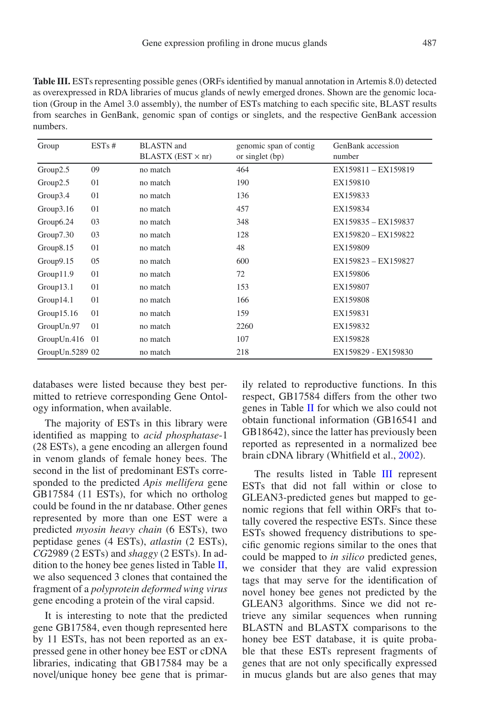<span id="page-6-0"></span>**Table III.** ESTs representing possible genes (ORFs identified by manual annotation in Artemis 8.0) detected as overexpressed in RDA libraries of mucus glands of newly emerged drones. Shown are the genomic location (Group in the Amel 3.0 assembly), the number of ESTs matching to each specific site, BLAST results from searches in GenBank, genomic span of contigs or singlets, and the respective GenBank accession numbers.

| Group           | ESTs# | <b>BLASTN</b> and<br>$BLASTX (EST \times nr)$ | genomic span of contig<br>or singlet (bp) | GenBank accession<br>number |
|-----------------|-------|-----------------------------------------------|-------------------------------------------|-----------------------------|
| Group2.5        | 09    | no match                                      | 464                                       | EX159811 - EX159819         |
| Group2.5        | 01    | no match                                      | 190                                       | EX159810                    |
| Group3.4        | 01    | no match                                      | 136                                       | EX159833                    |
| Group3.16       | 01    | no match                                      | 457                                       | EX159834                    |
| Group6.24       | 03    | no match                                      | 348                                       | EX159835 - EX159837         |
| Group7.30       | 03    | no match                                      | 128                                       | EX159820 - EX159822         |
| Group8.15       | 01    | no match                                      | 48                                        | EX159809                    |
| Group9.15       | 05    | no match                                      | 600                                       | EX159823 - EX159827         |
| Group11.9       | 01    | no match                                      | 72                                        | EX159806                    |
| Group13.1       | 01    | no match                                      | 153                                       | EX159807                    |
| Group14.1       | 01    | no match                                      | 166                                       | EX159808                    |
| Group15.16      | 01    | no match                                      | 159                                       | EX159831                    |
| GroupUn.97      | 01    | no match                                      | 2260                                      | EX159832                    |
| GroupUn.416     | -01   | no match                                      | 107                                       | EX159828                    |
| GroupUn.5289 02 |       | no match                                      | 218                                       | EX159829 - EX159830         |

databases were listed because they best permitted to retrieve corresponding Gene Ontology information, when available.

The majority of ESTs in this library were identified as mapping to *acid phosphatase*-1 (28 ESTs), a gene encoding an allergen found in venom glands of female honey bees. The second in the list of predominant ESTs corresponded to the predicted *Apis mellifera* gene GB17584 (11 ESTs), for which no ortholog could be found in the nr database. Other genes represented by more than one EST were a predicted *myosin heavy chain* (6 ESTs), two peptidase genes (4 ESTs), *atlastin* (2 ESTs), *CG*2989 (2 ESTs) and *shaggy* (2 ESTs). In addition to the honey bee genes listed in Table  $II$ , we also sequenced 3 clones that contained the fragment of a *polyprotein deformed wing virus* gene encoding a protein of the viral capsid.

It is interesting to note that the predicted gene GB17584, even though represented here by 11 ESTs, has not been reported as an expressed gene in other honey bee EST or cDNA libraries, indicating that GB17584 may be a novel/unique honey bee gene that is primarily related to reproductive functions. In this respect, GB17584 differs from the other two genes in Table [II](#page-5-0) for which we also could not obtain functional information (GB16541 and GB18642), since the latter has previously been reported as represented in a normalized bee brain cDNA library (Whitfield et al., [2002\)](#page-14-11).

The results listed in Table [III](#page-6-0) represent ESTs that did not fall within or close to GLEAN3-predicted genes but mapped to genomic regions that fell within ORFs that totally covered the respective ESTs. Since these ESTs showed frequency distributions to specific genomic regions similar to the ones that could be mapped to *in silico* predicted genes, we consider that they are valid expression tags that may serve for the identification of novel honey bee genes not predicted by the GLEAN3 algorithms. Since we did not retrieve any similar sequences when running BLASTN and BLASTX comparisons to the honey bee EST database, it is quite probable that these ESTs represent fragments of genes that are not only specifically expressed in mucus glands but are also genes that may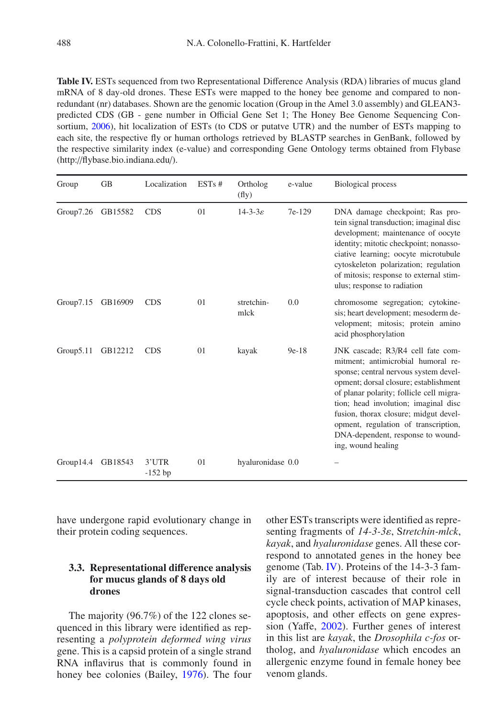<span id="page-7-0"></span>**Table IV.** ESTs sequenced from two Representational Difference Analysis (RDA) libraries of mucus gland mRNA of 8 day-old drones. These ESTs were mapped to the honey bee genome and compared to nonredundant (nr) databases. Shown are the genomic location (Group in the Amel 3.0 assembly) and GLEAN3 predicted CDS (GB - gene number in Official Gene Set 1; The Honey Bee Genome Sequencing Consortium, [2006](#page-14-7)), hit localization of ESTs (to CDS or putatve UTR) and the number of ESTs mapping to each site, the respective fly or human orthologs retrieved by BLASTP searches in GenBank, followed by the respective similarity index (e-value) and corresponding Gene Ontology terms obtained from Flybase (http://flybase.bio.indiana.edu/).

| Group     | <b>GB</b> | Localization       | ESTs# | Ortholog<br>(fly)       | e-value | <b>Biological process</b>                                                                                                                                                                                                                                                                                                                                                                 |
|-----------|-----------|--------------------|-------|-------------------------|---------|-------------------------------------------------------------------------------------------------------------------------------------------------------------------------------------------------------------------------------------------------------------------------------------------------------------------------------------------------------------------------------------------|
| Group7.26 | GB15582   | <b>CDS</b>         | 01    | $14 - 3 - 3\varepsilon$ | 7e-129  | DNA damage checkpoint; Ras pro-<br>tein signal transduction; imaginal disc<br>development; maintenance of oocyte<br>identity; mitotic checkpoint; nonasso-<br>ciative learning; oocyte microtubule<br>cytoskeleton polarization; regulation<br>of mitosis; response to external stim-<br>ulus; response to radiation                                                                      |
| Group7.15 | GB16909   | <b>CDS</b>         | 01    | stretchin-<br>mlck      | 0.0     | chromosome segregation; cytokine-<br>sis; heart development; mesoderm de-<br>velopment; mitosis; protein amino<br>acid phosphorylation                                                                                                                                                                                                                                                    |
| Group5.11 | GB12212   | <b>CDS</b>         | 01    | kayak                   | $9e-18$ | JNK cascade; R3/R4 cell fate com-<br>mitment; antimicrobial humoral re-<br>sponse; central nervous system devel-<br>opment; dorsal closure; establishment<br>of planar polarity; follicle cell migra-<br>tion; head involution; imaginal disc<br>fusion, thorax closure; midgut devel-<br>opment, regulation of transcription,<br>DNA-dependent, response to wound-<br>ing, wound healing |
| Group14.4 | GB18543   | 3'UTR<br>$-152$ bp | 01    | hyaluronidase 0.0       |         |                                                                                                                                                                                                                                                                                                                                                                                           |

have undergone rapid evolutionary change in their protein coding sequences.

## **3.3. Representational di**ff**erence analysis for mucus glands of 8 days old drones**

The majority (96.7%) of the 122 clones sequenced in this library were identified as representing a *polyprotein deformed wing virus* gene. This is a capsid protein of a single strand RNA inflavirus that is commonly found in honey bee colonies (Bailey, [1976](#page-12-7)). The four other ESTs transcripts were identified as representing fragments of *14-3-3*ε, S*tretchin-mlck*, *kayak*, and *hyaluronidase* genes. All these correspond to annotated genes in the honey bee genome (Tab. [IV\)](#page-7-0). Proteins of the 14-3-3 family are of interest because of their role in signal-transduction cascades that control cell cycle check points, activation of MAP kinases, apoptosis, and other effects on gene expression (Yaffe, [2002](#page-14-12)). Further genes of interest in this list are *kayak*, the *Drosophila c-fos* ortholog, and *hyaluronidase* which encodes an allergenic enzyme found in female honey bee venom glands.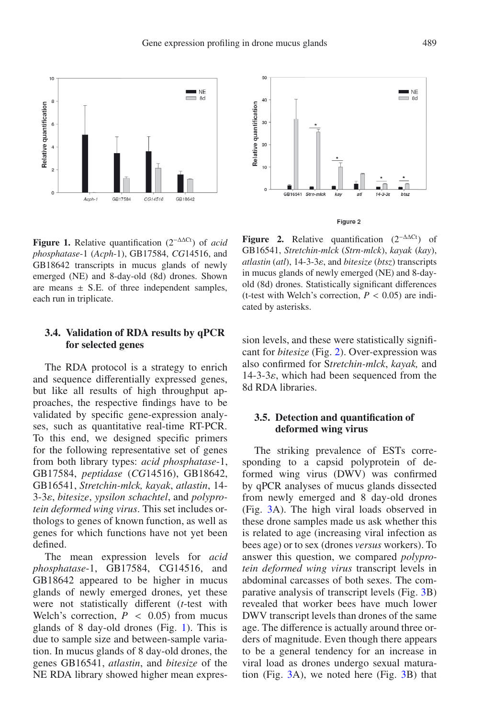<span id="page-8-0"></span>

**Figure 1.** Relative quantification (2−ΔΔCt) of *acid phosphatase*-1 (*Acph*-1), GB17584, *CG*14516, and GB18642 transcripts in mucus glands of newly emerged (NE) and 8-day-old (8d) drones. Shown are means  $\pm$  S.E. of three independent samples, each run in triplicate.

## **3.4. Validation of RDA results by qPCR for selected genes**

The RDA protocol is a strategy to enrich and sequence differentially expressed genes, but like all results of high throughput approaches, the respective findings have to be validated by specific gene-expression analyses, such as quantitative real-time RT-PCR. To this end, we designed specific primers for the following representative set of genes from both library types: *acid phosphatase*-1, GB17584, *peptidase* (*CG*14516), GB18642, GB16541, *Stretchin-mlck, kayak*, *atlastin*, 14- 3-3ε, *bitesize*, *ypsilon schachtel*, and *polyprotein deformed wing virus*. This set includes orthologs to genes of known function, as well as genes for which functions have not yet been defined.

The mean expression levels for *acid phosphatase*-1, GB17584, CG14516, and GB18642 appeared to be higher in mucus glands of newly emerged drones, yet these were not statistically different (*t*-test with Welch's correction,  $P < 0.05$ ) from mucus glands of 8 day-old drones (Fig. [1\)](#page-8-0). This is due to sample size and between-sample variation. In mucus glands of 8 day-old drones, the genes GB16541, *atlastin*, and *bitesize* of the NE RDA library showed higher mean expres-

<span id="page-8-1"></span>

**Figure 2.** Relative quantification  $(2^{-\Delta\Delta Ct})$  of GB16541, *Stretchin-mlck* (*Strn-mlck*), *kayak* (*kay*), *atlastin* (*atl*), 14-3-3ε, and *bitesize* (*btsz*) transcripts in mucus glands of newly emerged (NE) and 8-dayold (8d) drones. Statistically significant differences (t-test with Welch's correction,  $P < 0.05$ ) are indicated by asterisks.

sion levels, and these were statistically significant for *bitesize* (Fig. [2\)](#page-8-1). Over-expression was also confirmed for S*tretchin-mlck*, *kayak,* and  $14-3-3\varepsilon$ , which had been sequenced from the 8d RDA libraries.

#### **3.5. Detection and quantification of deformed wing virus**

The striking prevalence of ESTs corresponding to a capsid polyprotein of deformed wing virus (DWV) was confirmed by qPCR analyses of mucus glands dissected from newly emerged and 8 day-old drones (Fig. [3A](#page-9-0)). The high viral loads observed in these drone samples made us ask whether this is related to age (increasing viral infection as bees age) or to sex (drones *versus* workers). To answer this question, we compared *polyprotein deformed wing virus* transcript levels in abdominal carcasses of both sexes. The comparative analysis of transcript levels (Fig. [3B](#page-9-0)) revealed that worker bees have much lower DWV transcript levels than drones of the same age. The difference is actually around three orders of magnitude. Even though there appears to be a general tendency for an increase in viral load as drones undergo sexual maturation (Fig. [3A](#page-9-0)), we noted here (Fig. [3B](#page-9-0)) that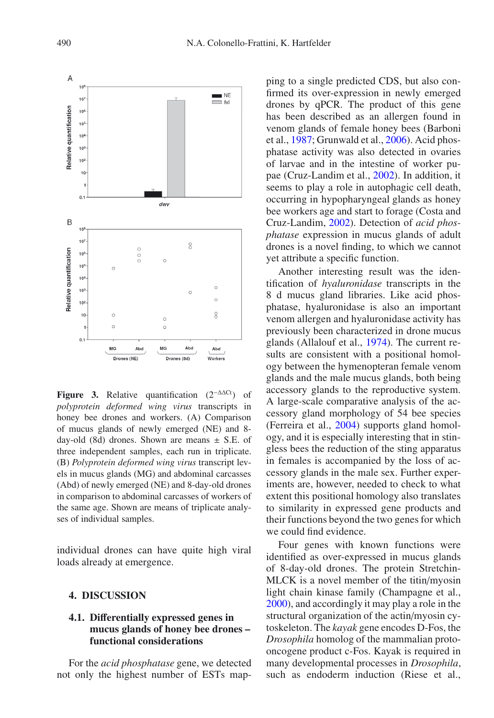

<span id="page-9-0"></span>**Figure 3.** Relative quantification  $(2^{-\Delta\Delta Ct})$  of *polyprotein deformed wing virus* transcripts in honey bee drones and workers. (A) Comparison of mucus glands of newly emerged (NE) and 8 day-old (8d) drones. Shown are means  $\pm$  S.E. of three independent samples, each run in triplicate. (B) *Polyprotein deformed wing virus* transcript levels in mucus glands (MG) and abdominal carcasses (Abd) of newly emerged (NE) and 8-day-old drones in comparison to abdominal carcasses of workers of the same age. Shown are means of triplicate analyses of individual samples.

individual drones can have quite high viral loads already at emergence.

#### **4. DISCUSSION**

## **4.1. Di**ff**erentially expressed genes in mucus glands of honey bee drones – functional considerations**

For the *acid phosphatase* gene, we detected not only the highest number of ESTs map-

ping to a single predicted CDS, but also confirmed its over-expression in newly emerged drones by qPCR. The product of this gene has been described as an allergen found in venom glands of female honey bees (Barboni et al., [1987;](#page-12-8) Grunwald et al., [2006](#page-13-13)). Acid phosphatase activity was also detected in ovaries of larvae and in the intestine of worker pupae (Cruz-Landim et al., [2002\)](#page-13-14). In addition, it seems to play a role in autophagic cell death, occurring in hypopharyngeal glands as honey bee workers age and start to forage (Costa and Cruz-Landim, [2002\)](#page-13-15). Detection of *acid phosphatase* expression in mucus glands of adult drones is a novel finding, to which we cannot yet attribute a specific function.

Another interesting result was the identification of *hyaluronidase* transcripts in the 8 d mucus gland libraries. Like acid phosphatase, hyaluronidase is also an important venom allergen and hyaluronidase activity has previously been characterized in drone mucus glands (Allalouf et al., [1974\)](#page-12-9). The current results are consistent with a positional homology between the hymenopteran female venom glands and the male mucus glands, both being accessory glands to the reproductive system. A large-scale comparative analysis of the accessory gland morphology of 54 bee species (Ferreira et al., [2004\)](#page-13-16) supports gland homology, and it is especially interesting that in stingless bees the reduction of the sting apparatus in females is accompanied by the loss of accessory glands in the male sex. Further experiments are, however, needed to check to what extent this positional homology also translates to similarity in expressed gene products and their functions beyond the two genes for which we could find evidence.

Four genes with known functions were identified as over-expressed in mucus glands of 8-day-old drones. The protein Stretchin-MLCK is a novel member of the titin/myosin light chain kinase family (Champagne et al., [2000](#page-12-10)), and accordingly it may play a role in the structural organization of the actin/myosin cytoskeleton. The *kayak* gene encodes D-Fos, the *Drosophila* homolog of the mammalian protooncogene product c-Fos. Kayak is required in many developmental processes in *Drosophila*, such as endoderm induction (Riese et al.,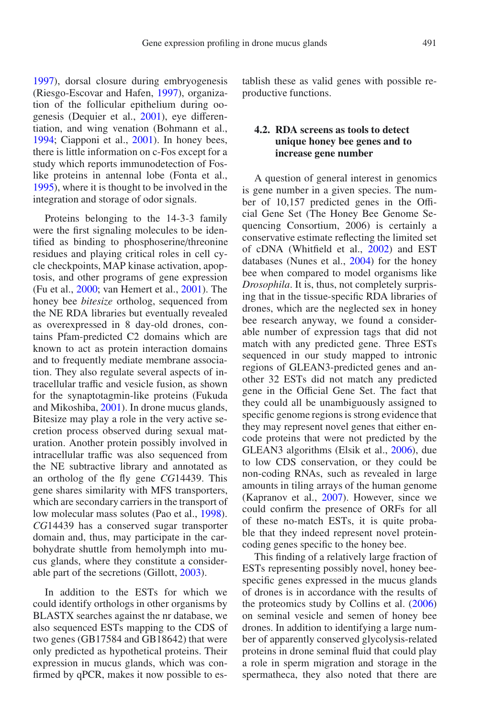[1997](#page-14-13)), dorsal closure during embryogenesis (Riesgo-Escovar and Hafen, [1997\)](#page-14-14), organization of the follicular epithelium during oogenesis (Dequier et al., [2001\)](#page-13-17), eye differentiation, and wing venation (Bohmann et al., [1994](#page-12-11); Ciapponi et al., [2001](#page-12-12)). In honey bees, there is little information on c-Fos except for a study which reports immunodetection of Foslike proteins in antennal lobe (Fonta et al., [1995](#page-13-18)), where it is thought to be involved in the

integration and storage of odor signals.

Proteins belonging to the 14-3-3 family were the first signaling molecules to be identified as binding to phosphoserine/threonine residues and playing critical roles in cell cycle checkpoints, MAP kinase activation, apoptosis, and other programs of gene expression (Fu et al., [2000;](#page-13-19) van Hemert et al., [2001\)](#page-14-15). The honey bee *bitesize* ortholog, sequenced from the NE RDA libraries but eventually revealed as overexpressed in 8 day-old drones, contains Pfam-predicted C2 domains which are known to act as protein interaction domains and to frequently mediate membrane association. They also regulate several aspects of intracellular traffic and vesicle fusion, as shown for the synaptotagmin-like proteins (Fukuda and Mikoshiba, [2001](#page-13-20)). In drone mucus glands, Bitesize may play a role in the very active secretion process observed during sexual maturation. Another protein possibly involved in intracellular traffic was also sequenced from the NE subtractive library and annotated as an ortholog of the fly gene *CG*14439. This gene shares similarity with MFS transporters, which are secondary carriers in the transport of low molecular mass solutes (Pao et al., [1998\)](#page-14-16). *CG*14439 has a conserved sugar transporter domain and, thus, may participate in the carbohydrate shuttle from hemolymph into mucus glands, where they constitute a considerable part of the secretions (Gillott, [2003\)](#page-13-0).

In addition to the ESTs for which we could identify orthologs in other organisms by BLASTX searches against the nr database, we also sequenced ESTs mapping to the CDS of two genes (GB17584 and GB18642) that were only predicted as hypothetical proteins. Their expression in mucus glands, which was confirmed by qPCR, makes it now possible to establish these as valid genes with possible reproductive functions.

## **4.2. RDA screens as tools to detect unique honey bee genes and to increase gene number**

A question of general interest in genomics is gene number in a given species. The number of 10,157 predicted genes in the Official Gene Set (The Honey Bee Genome Sequencing Consortium, 2006) is certainly a conservative estimate reflecting the limited set of cDNA (Whitfield et al., [2002\)](#page-14-11) and EST databases (Nunes et al., [2004](#page-13-21)) for the honey bee when compared to model organisms like *Drosophila*. It is, thus, not completely surprising that in the tissue-specific RDA libraries of drones, which are the neglected sex in honey bee research anyway, we found a considerable number of expression tags that did not match with any predicted gene. Three ESTs sequenced in our study mapped to intronic regions of GLEAN3-predicted genes and another 32 ESTs did not match any predicted gene in the Official Gene Set. The fact that they could all be unambiguously assigned to specific genome regions is strong evidence that they may represent novel genes that either encode proteins that were not predicted by the GLEAN3 algorithms (Elsik et al., [2006\)](#page-13-11), due to low CDS conservation, or they could be non-coding RNAs, such as revealed in large amounts in tiling arrays of the human genome (Kapranov et al., [2007\)](#page-13-22). However, since we could confirm the presence of ORFs for all of these no-match ESTs, it is quite probable that they indeed represent novel proteincoding genes specific to the honey bee.

This finding of a relatively large fraction of ESTs representing possibly novel, honey beespecific genes expressed in the mucus glands of drones is in accordance with the results of the proteomics study by Collins et al. [\(2006\)](#page-12-0) on seminal vesicle and semen of honey bee drones. In addition to identifying a large number of apparently conserved glycolysis-related proteins in drone seminal fluid that could play a role in sperm migration and storage in the spermatheca, they also noted that there are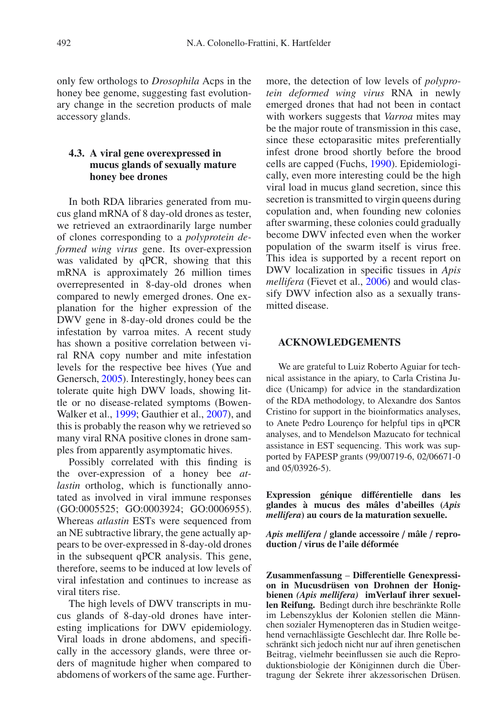only few orthologs to *Drosophila* Acps in the honey bee genome, suggesting fast evolutionary change in the secretion products of male accessory glands.

## **4.3. A viral gene overexpressed in mucus glands of sexually mature honey bee drones**

In both RDA libraries generated from mucus gland mRNA of 8 day-old drones as tester, we retrieved an extraordinarily large number of clones corresponding to a *polyprotein deformed wing virus* gene. Its over-expression was validated by qPCR, showing that this mRNA is approximately 26 million times overrepresented in 8-day-old drones when compared to newly emerged drones. One explanation for the higher expression of the DWV gene in 8-day-old drones could be the infestation by varroa mites. A recent study has shown a positive correlation between viral RNA copy number and mite infestation levels for the respective bee hives (Yue and Genersch, [2005](#page-14-17)). Interestingly, honey bees can tolerate quite high DWV loads, showing little or no disease-related symptoms (Bowen-Walker et al., [1999;](#page-12-13) Gauthier et al., [2007\)](#page-13-23), and this is probably the reason why we retrieved so many viral RNA positive clones in drone samples from apparently asymptomatic hives.

Possibly correlated with this finding is the over-expression of a honey bee *atlastin* ortholog, which is functionally annotated as involved in viral immune responses (GO:0005525; GO:0003924; GO:0006955). Whereas *atlastin* ESTs were sequenced from an NE subtractive library, the gene actually appears to be over-expressed in 8-day-old drones in the subsequent qPCR analysis. This gene, therefore, seems to be induced at low levels of viral infestation and continues to increase as viral titers rise.

The high levels of DWV transcripts in mucus glands of 8-day-old drones have interesting implications for DWV epidemiology. Viral loads in drone abdomens, and specifically in the accessory glands, were three orders of magnitude higher when compared to abdomens of workers of the same age. Furthermore, the detection of low levels of *polyprotein deformed wing virus* RNA in newly emerged drones that had not been in contact with workers suggests that *Varroa* mites may be the major route of transmission in this case, since these ectoparasitic mites preferentially infest drone brood shortly before the brood cells are capped (Fuchs, [1990\)](#page-13-24). Epidemiologically, even more interesting could be the high viral load in mucus gland secretion, since this secretion is transmitted to virgin queens during copulation and, when founding new colonies after swarming, these colonies could gradually become DWV infected even when the worker population of the swarm itself is virus free. This idea is supported by a recent report on DWV localization in specific tissues in *Apis mellifera* (Fievet et al., [2006\)](#page-13-25) and would classify DWV infection also as a sexually transmitted disease.

#### **ACKNOWLEDGEMENTS**

We are grateful to Luiz Roberto Aguiar for technical assistance in the apiary, to Carla Cristina Judice (Unicamp) for advice in the standardization of the RDA methodology, to Alexandre dos Santos Cristino for support in the bioinformatics analyses, to Anete Pedro Lourenço for helpful tips in qPCR analyses, and to Mendelson Mazucato for technical assistance in EST sequencing. This work was supported by FAPESP grants (99/00719-6, 02/06671-0 and 05/03926-5).

**Expression génique di**ff**érentielle dans les glandes à mucus des mâles d'abeilles (***Apis mellifera***) au cours de la maturation sexuelle.**

*Apis mellifera* / **glande accessoire** / **mâle** / **reproduction** / **virus de l'aile déformée**

**Zusammenfassung** – **Di**ff**erentielle Genexpression in Mucusdrüsen von Drohnen der Honigbienen** *(Apis mellifera)* **imVerlauf ihrer sexuellen Reifung.** Bedingt durch ihre beschränkte Rolle im Lebenszyklus der Kolonien stellen die Männchen sozialer Hymenopteren das in Studien weitgehend vernachlässigte Geschlecht dar. Ihre Rolle beschränkt sich jedoch nicht nur auf ihren genetischen Beitrag, vielmehr beeinflussen sie auch die Reproduktionsbiologie der Königinnen durch die Übertragung der Sekrete ihrer akzessorischen Drüsen.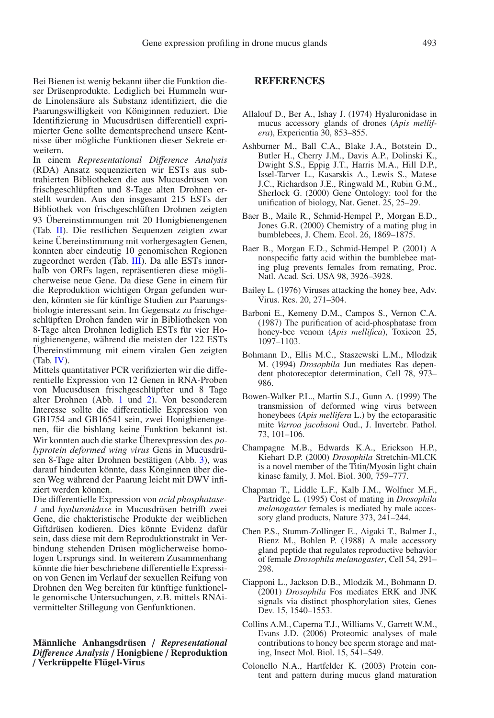Bei Bienen ist wenig bekannt über die Funktion dieser Drüsenprodukte. Lediglich bei Hummeln wurde Linolensäure als Substanz identifiziert, die die Paarungswilligkeit von Königinnen reduziert. Die Identifizierung in Mucusdrüsen differentiell exprimierter Gene sollte dementsprechend unsere Kentnisse über mögliche Funktionen dieser Sekrete erweitern.

In einem *Representational Di*ff*erence Analysis* (RDA) Ansatz sequenzierten wir ESTs aus subtrahierten Bibliotheken die aus Mucusdrüsen von frischgeschlüpften und 8-Tage alten Drohnen erstellt wurden. Aus den insgesamt 215 ESTs der Bibliothek von frischgeschlüften Drohnen zeigten 93 Übereinstimmungen mit 20 Honigbienengenen (Tab. [II\)](#page-5-0). Die restlichen Sequenzen zeigten zwar keine Übereinstimmung mit vorhergesagten Genen, konnten aber eindeutig 10 genomischen Regionen zugeordnet werden (Tab. [III\)](#page-6-0). Da alle ESTs innerhalb von ORFs lagen, repräsentieren diese möglicherweise neue Gene. Da diese Gene in einem für die Reproduktion wichtigen Organ gefunden wurden, könnten sie für künftige Studien zur Paarungsbiologie interessant sein. Im Gegensatz zu frischgeschlüpften Drohen fanden wir in Bibliotheken von 8-Tage alten Drohnen lediglich ESTs für vier Honigbienengene, während die meisten der 122 ESTs Übereinstimmung mit einem viralen Gen zeigten (Tab. [IV\)](#page-7-0).

Mittels quantitativer PCR verifizierten wir die differentielle Expression von 12 Genen in RNA-Proben von Mucusdüsen frischgeschlüpfter und 8 Tage alter Drohnen (Abb. [1](#page-8-0) und [2\)](#page-8-1). Von besonderem Interesse sollte die differentielle Expression von GB1754 and GB16541 sein, zwei Honigbienengenen, für die bishlang keine Funktion bekannt ist. Wir konnten auch die starke Überexpression des *polyprotein deformed wing virus* Gens in Mucusdrüsen 8-Tage alter Drohnen bestätigen (Abb. [3\)](#page-9-0), was darauf hindeuten könnte, dass Könginnen über diesen Weg während der Paarung leicht mit DWV infiziert werden können.

Die differentielle Expression von *acid phosphatase-1* and *hyaluronidase* in Mucusdrüsen betrifft zwei Gene, die chakteristische Produkte der weiblichen Giftdrüsen kodieren. Dies könnte Evidenz dafür sein, dass diese mit dem Reproduktionstrakt in Verbindung stehenden Drüsen möglicherweise homologen Ursprungs sind. In weiterem Zusammenhang könnte die hier beschriebene differentielle Expression von Genen im Verlauf der sexuellen Reifung von Drohnen den Weg bereiten für künftige funktionelle genomische Untersuchungen, z.B. mittels RNAivermittelter Stillegung von Genfunktionen.

#### **Männliche Anhangsdrüsen** / *Representational Di*ff*erence Analysis* / **Honigbiene** / **Reproduktion** / **Verkrüppelte Flügel-Virus**

#### **REFERENCES**

- <span id="page-12-9"></span>Allalouf D., Ber A., Ishay J. (1974) Hyaluronidase in mucus accessory glands of drones (*Apis mellifera*), Experientia 30, 853–855.
- <span id="page-12-6"></span>Ashburner M., Ball C.A., Blake J.A., Botstein D., Butler H., Cherry J.M., Davis A.P., Dolinski K., Dwight S.S., Eppig J.T., Harris M.A., Hill D.P., Issel-Tarver L., Kasarskis A., Lewis S., Matese J.C., Richardson J.E., Ringwald M., Rubin G.M., Sherlock G. (2000) Gene Ontology: tool for the unification of biology, Nat. Genet. 25, 25–29.
- <span id="page-12-4"></span>Baer B., Maile R., Schmid-Hempel P., Morgan E.D., Jones G.R. (2000) Chemistry of a mating plug in bumblebees, J. Chem. Ecol. 26, 1869–1875.
- <span id="page-12-5"></span>Baer B., Morgan E.D., Schmid-Hempel P. (2001) A nonspecific fatty acid within the bumblebee mating plug prevents females from remating, Proc. Natl. Acad. Sci. USA 98, 3926–3928.
- <span id="page-12-7"></span>Bailey L. (1976) Viruses attacking the honey bee, Adv. Virus. Res. 20, 271–304.
- <span id="page-12-8"></span>Barboni E., Kemeny D.M., Campos S., Vernon C.A. (1987) The purification of acid-phosphatase from honey-bee venom (*Apis mellifica*), Toxicon 25, 1097–1103.
- <span id="page-12-11"></span>Bohmann D., Ellis M.C., Staszewski L.M., Mlodzik M. (1994) *Drosophila* Jun mediates Ras dependent photoreceptor determination, Cell 78, 973– 986.
- <span id="page-12-13"></span>Bowen-Walker P.L., Martin S.J., Gunn A. (1999) The transmission of deformed wing virus between honeybees (*Apis mellifera* L.) by the ectoparasitic mite *Varroa jacobsoni* Oud., J. Invertebr. Pathol. 73, 101–106.
- <span id="page-12-10"></span>Champagne M.B., Edwards K.A., Erickson H.P., Kiehart D.P. (2000) *Drosophila* Stretchin-MLCK is a novel member of the Titin/Myosin light chain kinase family, J. Mol. Biol. 300, 759–777.
- <span id="page-12-2"></span>Chapman T., Liddle L.F., Kalb J.M., Wolfner M.F., Partridge L. (1995) Cost of mating in *Drosophila melanogaster* females is mediated by male accessory gland products, Nature 373, 241–244.
- <span id="page-12-1"></span>Chen P.S., Stumm-Zollinger E., Aigaki T., Balmer J., Bienz M., Bohlen P. (1988) A male accessory gland peptide that regulates reproductive behavior of female *Drosophila melanogaster*, Cell 54, 291– 298.
- <span id="page-12-12"></span>Ciapponi L., Jackson D.B., Mlodzik M., Bohmann D. (2001) *Drosophila* Fos mediates ERK and JNK signals via distinct phosphorylation sites, Genes Dev. 15, 1540–1553.
- <span id="page-12-0"></span>Collins A.M., Caperna T.J., Williams V., Garrett W.M., Evans J.D. (2006) Proteomic analyses of male contributions to honey bee sperm storage and mating, Insect Mol. Biol. 15, 541–549.
- <span id="page-12-3"></span>Colonello N.A., Hartfelder K. (2003) Protein content and pattern during mucus gland maturation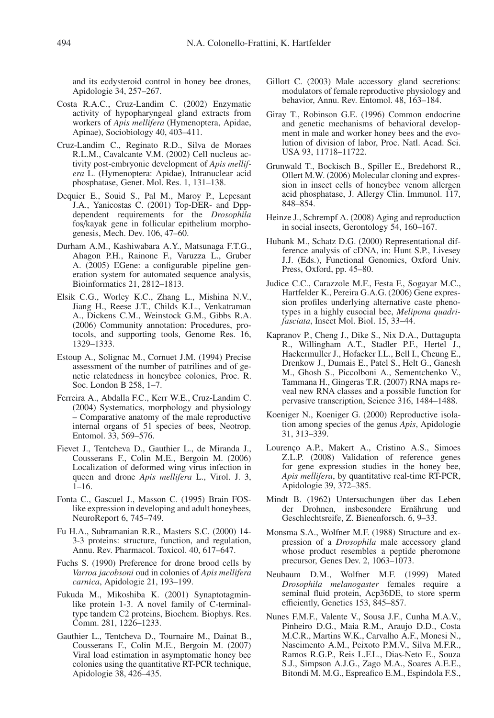and its ecdysteroid control in honey bee drones, Apidologie 34, 257–267.

- <span id="page-13-15"></span>Costa R.A.C., Cruz-Landim C. (2002) Enzymatic activity of hypopharyngeal gland extracts from workers of *Apis mellifera* (Hymenoptera, Apidae, Apinae), Sociobiology 40, 403–411.
- <span id="page-13-14"></span>Cruz-Landim C., Reginato R.D., Silva de Moraes R.L.M., Cavalcante V.M. (2002) Cell nucleus activity post-embryonic development of *Apis mellifera* L. (Hymenoptera: Apidae), Intranuclear acid phosphatase, Genet. Mol. Res. 1, 131–138.
- <span id="page-13-17"></span>Dequier E., Souid S., Pal M., Maroy P., Lepesant J.A., Yanicostas C. (2001) Top-DER- and Dppdependent requirements for the *Drosophila* fos/kayak gene in follicular epithelium morphogenesis, Mech. Dev. 106, 47–60.
- <span id="page-13-10"></span>Durham A.M., Kashiwabara A.Y., Matsunaga F.T.G., Ahagon P.H., Rainone F., Varuzza L., Gruber A. (2005) EGene: a configurable pipeline generation system for automated sequence analysis, Bioinformatics 21, 2812–1813.
- <span id="page-13-11"></span>Elsik C.G., Worley K.C., Zhang L., Mishina N.V., Jiang H., Reese J.T., Childs K.L., Venkatraman A., Dickens C.M., Weinstock G.M., Gibbs R.A. (2006) Community annotation: Procedures, protocols, and supporting tools, Genome Res. 16, 1329–1333.
- <span id="page-13-4"></span>Estoup A., Solignac M., Cornuet J.M. (1994) Precise assessment of the number of patrilines and of genetic relatedness in honeybee colonies, Proc. R. Soc. London B 258, 1–7.
- <span id="page-13-16"></span>Ferreira A., Abdalla F.C., Kerr W.E., Cruz-Landim C. (2004) Systematics, morphology and physiology – Comparative anatomy of the male reproductive internal organs of 51 species of bees, Neotrop. Entomol. 33, 569–576.
- <span id="page-13-25"></span>Fievet J., Tentcheva D., Gauthier L., de Miranda J., Cousserans F., Colin M.E., Bergoin M. (2006) Localization of deformed wing virus infection in queen and drone *Apis mellifera* L., Virol. J. 3, 1–16.
- <span id="page-13-18"></span>Fonta C., Gascuel J., Masson C. (1995) Brain FOSlike expression in developing and adult honeybees, NeuroReport 6, 745–749.
- <span id="page-13-19"></span>Fu H.A., Subramanian R.R., Masters S.C. (2000) 14- 3-3 proteins: structure, function, and regulation, Annu. Rev. Pharmacol. Toxicol. 40, 617–647.
- <span id="page-13-24"></span>Fuchs S. (1990) Preference for drone brood cells by *Varroa jacobsoni* oud in colonies of *Apis mellifera carnica*, Apidologie 21, 193–199.
- <span id="page-13-20"></span>Fukuda M., Mikoshiba K. (2001) Synaptotagminlike protein 1-3. A novel family of C-terminaltype tandem C2 proteins, Biochem. Biophys. Res. Comm. 281, 1226–1233.
- <span id="page-13-23"></span>Gauthier L., Tentcheva D., Tournaire M., Dainat B., Cousserans F., Colin M.E., Bergoin M. (2007) Viral load estimation in asymptomatic honey bee colonies using the quantitative RT-PCR technique, Apidologie 38, 426–435.
- <span id="page-13-0"></span>Gillott C. (2003) Male accessory gland secretions: modulators of female reproductive physiology and behavior, Annu. Rev. Entomol. 48, 163–184.
- <span id="page-13-6"></span>Giray T., Robinson G.E. (1996) Common endocrine and genetic mechanisms of behavioral development in male and worker honey bees and the evolution of division of labor, Proc. Natl. Acad. Sci. USA 93, 11718–11722.
- <span id="page-13-13"></span>Grunwald T., Bockisch B., Spiller E., Bredehorst R., Ollert M.W. (2006) Molecular cloning and expression in insect cells of honeybee venom allergen acid phosphatase, J. Allergy Clin. Immunol. 117, 848–854.
- <span id="page-13-3"></span>Heinze J., Schrempf A. (2008) Aging and reproduction in social insects, Gerontology 54, 160–167.
- <span id="page-13-9"></span>Hubank M., Schatz D.G. (2000) Representational difference analysis of cDNA, in: Hunt S.P., Livesey J.J. (Eds.), Functional Genomics, Oxford Univ. Press, Oxford, pp. 45–80.
- <span id="page-13-8"></span>Judice C.C., Carazzole M.F., Festa F., Sogayar M.C., Hartfelder K., Pereira G.A.G. (2006) Gene expression profiles underlying alternative caste phenotypes in a highly eusocial bee, *Melipona quadrifasciata*, Insect Mol. Biol. 15, 33–44.
- <span id="page-13-22"></span>Kapranov P., Cheng J., Dike S., Nix D.A., Duttagupta R., Willingham A.T., Stadler P.F., Hertel J., Hackermuller J., Hofacker I.L., Bell I., Cheung E., Drenkow J., Dumais E., Patel S., Helt G., Ganesh M., Ghosh S., Piccolboni A., Sementchenko V., Tammana H., Gingeras T.R. (2007) RNA maps reveal new RNA classes and a possible function for pervasive transcription, Science 316, 1484–1488.
- <span id="page-13-7"></span>Koeniger N., Koeniger G. (2000) Reproductive isolation among species of the genus *Apis*, Apidologie 31, 313–339.
- <span id="page-13-12"></span>Lourenço A.P., Makert A., Cristino A.S., Simoes Z.L.P. (2008) Validation of reference genes for gene expression studies in the honey bee, *Apis mellifera*, by quantitative real-time RT-PCR, Apidologie 39, 372–385.
- <span id="page-13-5"></span>Mindt B. (1962) Untersuchungen über das Leben der Drohnen, insbesondere Ernährung und Geschlechtsreife, Z. Bienenforsch. 6, 9–33.
- <span id="page-13-2"></span>Monsma S.A., Wolfner M.F. (1988) Structure and expression of a *Drosophila* male accessory gland whose product resembles a peptide pheromone precursor, Genes Dev. 2, 1063–1073.
- <span id="page-13-1"></span>Neubaum D.M., Wolfner M.F. (1999) Mated *Drosophila melanogaster* females require a seminal fluid protein, Acp36DE, to store sperm efficiently, Genetics 153, 845–857.
- <span id="page-13-21"></span>Nunes F.M.F., Valente V., Sousa J.F., Cunha M.A.V., Pinheiro D.G., Maia R.M., Araujo D.D., Costa M.C.R., Martins W.K., Carvalho A.F., Monesi N., Nascimento A.M., Peixoto P.M.V., Silva M.F.R., Ramos R.G.P., Reis L.F.L., Dias-Neto E., Souza S.J., Simpson A.J.G., Zago M.A., Soares A.E.E., Bitondi M. M.G., Espreafico E.M., Espindola F.S.,